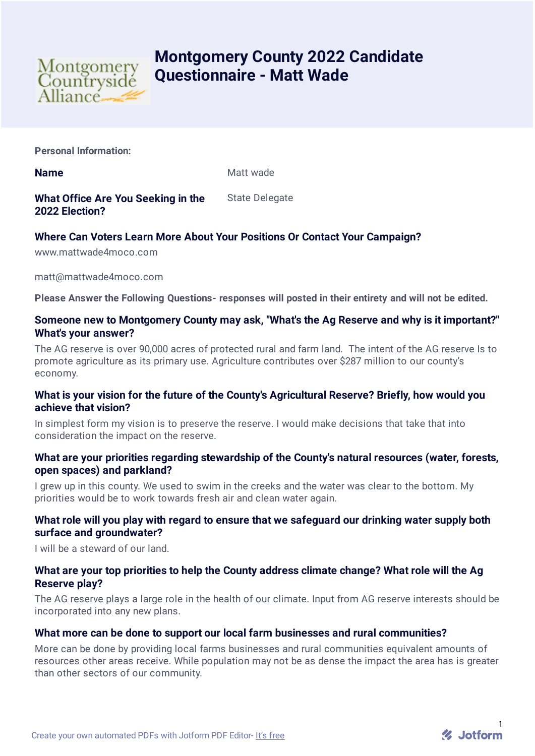

# **Montgomery County 2022 Candidate Questionnaire - Matt Wade**

**Personal Information:**

**Name** Matt wade

#### **What Office Are You Seeking in the 2022 Election?** State Delegate

# **Where Can Voters Learn More About Your Positions Or Contact Your Campaign?**

www.mattwade4moco.com

matt@mattwade4moco.com

**Please Answer the Following Questions- responses will posted in their entirety and will not be edited.**

# **Someone new to Montgomery County may ask, "What's the Ag Reserve and why is it important?" What's your answer?**

The AG reserve is over 90,000 acres of protected rural and farm land. The intent of the AG reserve Is to promote agriculture as its primary use. Agriculture contributes over \$287 million to our county's economy.

# **What is your vision for the future of the County's Agricultural Reserve? Briefly, how would you achieve that vision?**

In simplest form my vision is to preserve the reserve. I would make decisions that take that into consideration the impact on the reserve.

# **What are your priorities regarding stewardship of the County's natural resources (water, forests, open spaces) and parkland?**

I grew up in this county. We used to swim in the creeks and the water was clear to the bottom. My priorities would be to work towards fresh air and clean water again.

# **What role will you play with regard to ensure that we safeguard our drinking water supply both surface and groundwater?**

I will be a steward of our land.

### **What are your top priorities to help the County address climate change? What role will the Ag Reserve play?**

The AG reserve plays a large role in the health of our climate. Input from AG reserve interests should be incorporated into any new plans.

# **What more can be done to support our local farm businesses and rural communities?**

More can be done by providing local farms businesses and rural communities equivalent amounts of resources other areas receive. While population may not be as dense the impact the area has is greater than other sectors of our community.